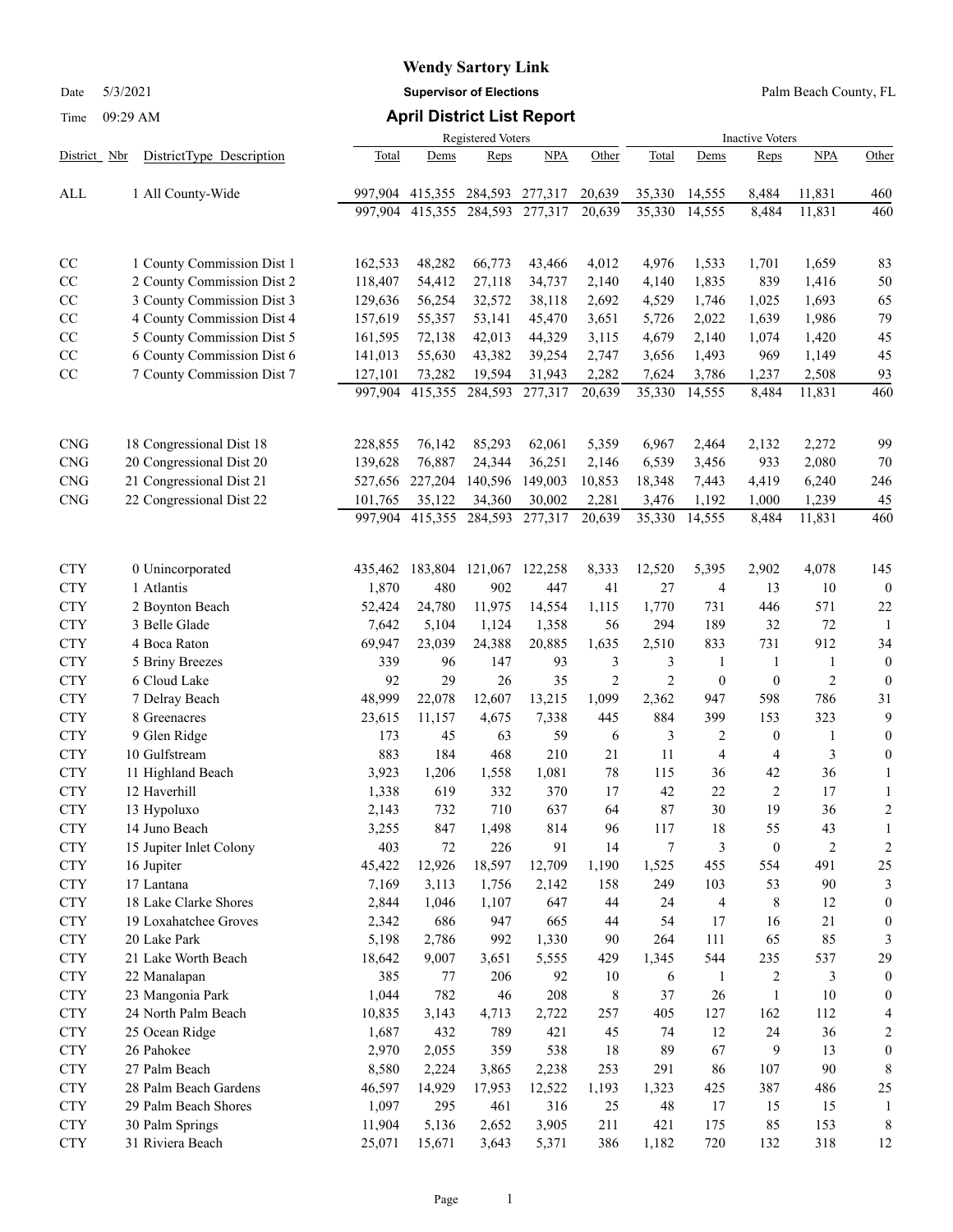Date 5/3/2021 **Supervisor of Elections** Palm Beach County, FL

|              |                            | <b>Registered Voters</b> |         | <b>Inactive Voters</b> |         |                |                |                  |                  |                |                  |
|--------------|----------------------------|--------------------------|---------|------------------------|---------|----------------|----------------|------------------|------------------|----------------|------------------|
| District Nbr | DistrictType Description   | Total                    | Dems    | Reps                   | NPA     | Other          | Total          | Dems             | <b>Reps</b>      | <b>NPA</b>     | Other            |
| ALL          | 1 All County-Wide          | 997,904                  | 415,355 | 284,593                | 277,317 | 20,639         | 35,330         | 14,555           | 8,484            | 11,831         | 460              |
|              |                            | 997,904                  | 415,355 | 284,593                | 277,317 | 20,639         | 35,330         | 14,555           | 8,484            | 11,831         | 460              |
|              |                            |                          |         |                        |         |                |                |                  |                  |                |                  |
| CC           | 1 County Commission Dist 1 | 162,533                  | 48,282  | 66,773                 | 43,466  | 4,012          | 4,976          | 1,533            | 1,701            | 1,659          | 83               |
| CC           | 2 County Commission Dist 2 | 118,407                  | 54,412  | 27,118                 | 34,737  | 2,140          | 4,140          | 1,835            | 839              | 1,416          | 50               |
| CC           | 3 County Commission Dist 3 | 129,636                  | 56,254  | 32,572                 | 38,118  | 2,692          | 4,529          | 1,746            | 1,025            | 1,693          | 65               |
| CC           | 4 County Commission Dist 4 | 157,619                  | 55,357  | 53,141                 | 45,470  | 3,651          | 5,726          | 2,022            | 1,639            | 1,986          | 79               |
| CC           | 5 County Commission Dist 5 | 161,595                  | 72,138  | 42,013                 | 44,329  | 3,115          | 4,679          | 2,140            | 1,074            | 1,420          | 45               |
| CC           | 6 County Commission Dist 6 | 141,013                  | 55,630  | 43,382                 | 39,254  | 2,747          | 3,656          | 1,493            | 969              | 1,149          | 45               |
| CC           | 7 County Commission Dist 7 | 127,101                  | 73,282  | 19,594                 | 31,943  | 2,282          | 7,624          | 3,786            | 1,237            | 2,508          | 93               |
|              |                            | 997,904                  | 415,355 | 284,593                | 277,317 | 20,639         | 35,330         | 14,555           | 8,484            | 11,831         | 460              |
|              |                            |                          |         |                        |         |                |                |                  |                  |                |                  |
|              |                            |                          |         |                        |         |                |                |                  |                  |                |                  |
| <b>CNG</b>   | 18 Congressional Dist 18   | 228,855                  | 76,142  | 85,293                 | 62,061  | 5,359          | 6,967          | 2,464            | 2,132            | 2,272          | 99               |
| CNG          | 20 Congressional Dist 20   | 139,628                  | 76,887  | 24,344                 | 36,251  | 2,146          | 6,539          | 3,456            | 933              | 2,080          | 70               |
| <b>CNG</b>   | 21 Congressional Dist 21   | 527,656                  | 227,204 | 140,596                | 149,003 | 10,853         | 18,348         | 7,443            | 4,419            | 6,240          | 246              |
| <b>CNG</b>   | 22 Congressional Dist 22   | 101,765                  | 35,122  | 34,360                 | 30,002  | 2,281          | 3,476          | 1,192            | 1,000            | 1,239          | 45               |
|              |                            | 997.904                  | 415,355 | 284,593                | 277,317 | 20,639         | 35,330         | 14,555           | 8,484            | 11,831         | 460              |
|              |                            |                          |         |                        |         |                |                |                  |                  |                |                  |
| <b>CTY</b>   | 0 Unincorporated           | 435,462                  | 183,804 | 121,067                | 122,258 | 8,333          | 12,520         | 5,395            | 2,902            | 4,078          | 145              |
| <b>CTY</b>   | 1 Atlantis                 | 1,870                    | 480     | 902                    | 447     | 41             | 27             | 4                | 13               | 10             | $\mathbf{0}$     |
| <b>CTY</b>   | 2 Boynton Beach            | 52,424                   | 24,780  | 11,975                 | 14,554  | 1,115          | 1,770          | 731              | 446              | 571            | 22               |
| <b>CTY</b>   | 3 Belle Glade              | 7,642                    | 5,104   | 1,124                  | 1,358   | 56             | 294            | 189              | 32               | 72             | -1               |
| <b>CTY</b>   | 4 Boca Raton               | 69,947                   | 23,039  | 24,388                 | 20,885  | 1,635          | 2,510          | 833              | 731              | 912            | 34               |
| <b>CTY</b>   | 5 Briny Breezes            | 339                      | 96      | 147                    | 93      | 3              | 3              | 1                | 1                | 1              | $\mathbf{0}$     |
| <b>CTY</b>   | 6 Cloud Lake               | 92                       | 29      | 26                     | 35      | $\overline{2}$ | $\overline{2}$ | $\boldsymbol{0}$ | $\boldsymbol{0}$ | $\overline{c}$ | $\mathbf{0}$     |
| <b>CTY</b>   | 7 Delray Beach             | 48,999                   | 22,078  | 12,607                 | 13,215  | 1,099          | 2,362          | 947              | 598              | 786            | 31               |
| <b>CTY</b>   | 8 Greenacres               | 23,615                   | 11,157  | 4,675                  | 7,338   | 445            | 884            | 399              | 153              | 323            | 9                |
| <b>CTY</b>   | 9 Glen Ridge               | 173                      | 45      | 63                     | 59      | 6              | 3              | 2                | $\boldsymbol{0}$ | 1              | $\boldsymbol{0}$ |
| <b>CTY</b>   | 10 Gulfstream              | 883                      | 184     | 468                    | 210     | 21             | 11             | 4                | 4                | 3              | $\boldsymbol{0}$ |
| <b>CTY</b>   | 11 Highland Beach          | 3,923                    | 1,206   | 1,558                  | 1,081   | 78             | 115            | 36               | 42               | 36             | 1                |
| <b>CTY</b>   | 12 Haverhill               | 1,338                    | 619     | 332                    | 370     | 17             | 42             | 22               | $\overline{c}$   | 17             | 1                |
| <b>CTY</b>   | 13 Hypoluxo                | 2,143                    | 732     | 710                    | 637     | 64             | 87             | 30               | 19               | 36             | $\overline{c}$   |
| <b>CTY</b>   | 14 Juno Beach              | 3,255                    | 847     | 1,498                  | 814     | 96             | 117            | 18               | 55               | 43             |                  |
| <b>CTY</b>   | 15 Jupiter Inlet Colony    | 403                      | 72      | 226                    | 91      | 14             | 7              | 3                | $\boldsymbol{0}$ | $\overline{c}$ | $\overline{c}$   |
| <b>CTY</b>   | 16 Jupiter                 | 45,422                   | 12,926  | 18,597                 | 12,709  | 1,190          | 1,525          | 455              | 554              | 491            | 25               |
| <b>CTY</b>   | 17 Lantana                 | 7,169                    | 3,113   | 1,756                  | 2,142   | 158            | 249            | 103              | 53               | 90             | 3                |
| <b>CTY</b>   | 18 Lake Clarke Shores      | 2,844                    | 1,046   | 1,107                  | 647     | 44             | 24             | 4                | 8                | 12             | $\boldsymbol{0}$ |
| <b>CTY</b>   | 19 Loxahatchee Groves      | 2,342                    | 686     | 947                    | 665     | 44             | 54             | 17               | 16               | 21             | $\bf{0}$         |
| <b>CTY</b>   | 20 Lake Park               | 5,198                    | 2,786   | 992                    | 1,330   | 90             | 264            | 111              | 65               | 85             | 3                |
| <b>CTY</b>   | 21 Lake Worth Beach        | 18,642                   | 9,007   | 3,651                  | 5,555   | 429            | 1,345          | 544              | 235              | 537            | 29               |
| <b>CTY</b>   | 22 Manalapan               | 385                      | 77      | 206                    | 92      | 10             | 6              | 1                | 2                | 3              | $\overline{0}$   |
| <b>CTY</b>   | 23 Mangonia Park           | 1,044                    | 782     | 46                     | 208     | 8              | 37             | 26               | 1                | 10             | $\overline{0}$   |
| <b>CTY</b>   | 24 North Palm Beach        | 10,835                   | 3,143   | 4,713                  | 2,722   | 257            | 405            | 127              | 162              | 112            | 4                |
| <b>CTY</b>   | 25 Ocean Ridge             | 1,687                    | 432     | 789                    | 421     | 45             | 74             | 12               | 24               | 36             | 2                |
| <b>CTY</b>   | 26 Pahokee                 | 2,970                    | 2,055   | 359                    | 538     | 18             | 89             | 67               | 9                | 13             | $\boldsymbol{0}$ |
| <b>CTY</b>   | 27 Palm Beach              | 8,580                    | 2,224   | 3,865                  | 2,238   | 253            | 291            | 86               | 107              | 90             | 8                |
| <b>CTY</b>   | 28 Palm Beach Gardens      | 46,597                   | 14,929  | 17,953                 | 12,522  | 1,193          | 1,323          | 425              | 387              | 486            | 25               |
| <b>CTY</b>   | 29 Palm Beach Shores       | 1,097                    | 295     | 461                    | 316     | 25             | 48             | 17               | 15               | 15             | -1               |
| <b>CTY</b>   | 30 Palm Springs            | 11,904                   | 5,136   | 2,652                  | 3,905   | 211            | 421            | 175              | 85               | 153            | 8                |
| <b>CTY</b>   | 31 Riviera Beach           | 25,071                   | 15,671  | 3,643                  | 5,371   | 386            | 1,182          | 720              | 132              | 318            | 12               |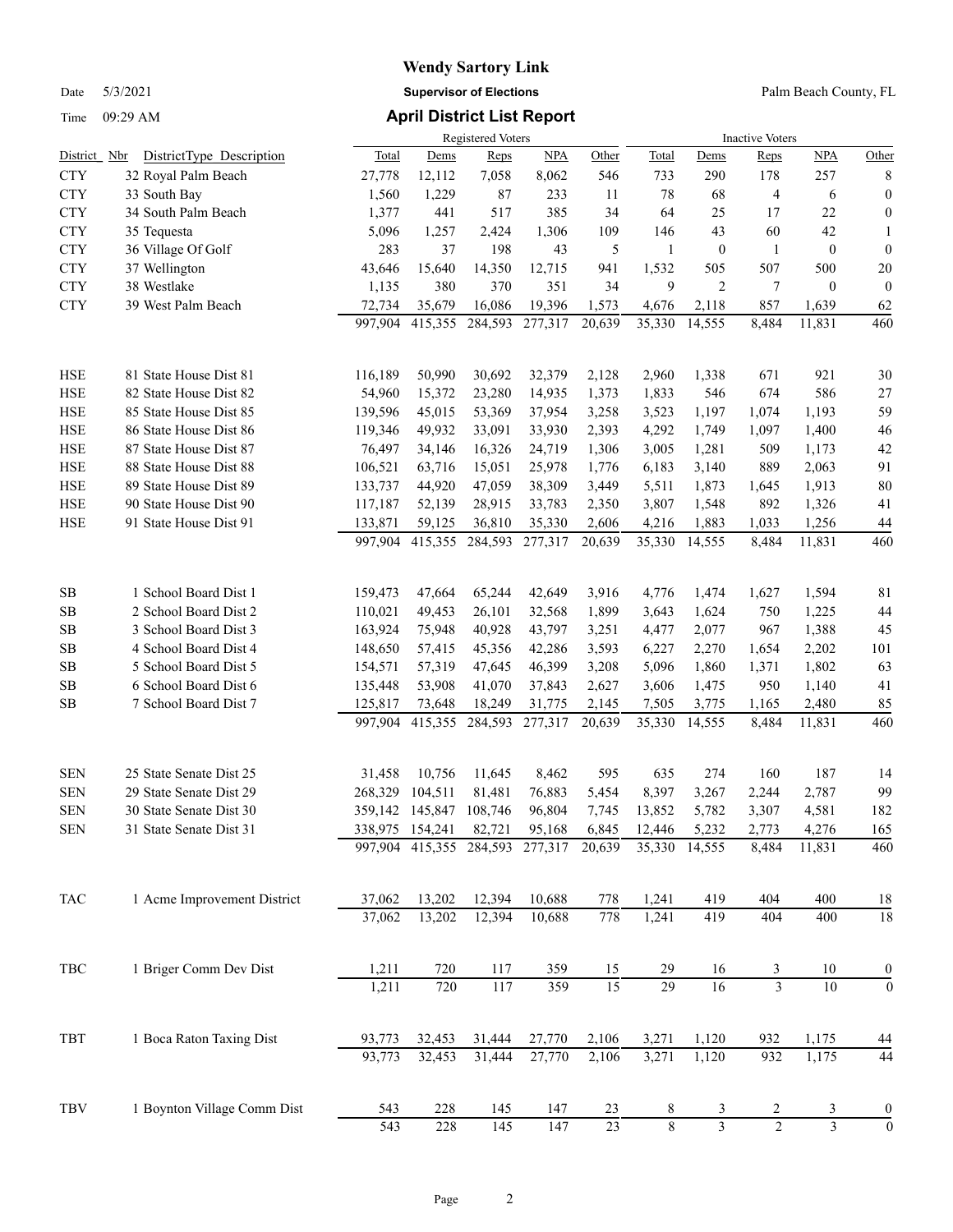## **Wendy Sartory Link** Date 5/3/2021 **Supervisor of Elections** Palm Beach County, FL

| Total<br>Nbr<br>Total<br>Reps<br><b>NPA</b><br>Other<br>Dems<br><b>NPA</b><br>Other<br>District<br>DistrictType Description<br>Dems<br>Reps<br>257<br><b>CTY</b><br>32 Royal Palm Beach<br>27,778<br>12,112<br>7,058<br>8,062<br>546<br>733<br>290<br>178<br>8<br><b>CTY</b><br>33 South Bay<br>1,560<br>1,229<br>87<br>233<br>11<br>78<br>4<br>$\boldsymbol{0}$<br>68<br>6<br><b>CTY</b><br>34 South Palm Beach<br>25<br>1,377<br>441<br>385<br>34<br>64<br>17<br>22<br>0<br>517<br><b>CTY</b><br>5,096<br>1,257<br>1,306<br>109<br>43<br>60<br>42<br>35 Tequesta<br>2,424<br>146<br>1<br><b>CTY</b><br>36 Village Of Golf<br>283<br>37<br>198<br>43<br>5<br>$\mathbf{1}$<br>$\mathbf{0}$<br>$\mathbf{0}$<br>$\boldsymbol{0}$<br>1<br><b>CTY</b><br>37 Wellington<br>43,646<br>15,640<br>14,350<br>12,715<br>941<br>1,532<br>507<br>500<br>20<br>505<br>9<br><b>CTY</b><br>38 Westlake<br>1,135<br>380<br>370<br>351<br>34<br>2<br>7<br>$\mathbf{0}$<br>$\overline{0}$<br><b>CTY</b><br>39 West Palm Beach<br>72,734<br>35,679<br>16,086<br>19,396<br>2,118<br>857<br>1,639<br>62<br>1,573<br>4,676<br>997,904<br>415,355<br>277,317<br>35,330<br>14,555<br>460<br>284,593<br>20,639<br>8,484<br>11,831<br><b>HSE</b><br>81 State House Dist 81<br>116,189<br>50,990<br>30,692<br>32,379<br>2,960<br>1,338<br>671<br>921<br>30<br>2,128<br>15,372<br>586<br><b>HSE</b><br>82 State House Dist 82<br>54,960<br>23,280<br>14,935<br>1,373<br>1,833<br>546<br>674<br>27<br>59<br><b>HSE</b><br>85 State House Dist 85<br>139,596<br>45,015<br>37,954<br>1,197<br>1,074<br>1,193<br>53,369<br>3,258<br>3,523<br><b>HSE</b><br>46<br>86 State House Dist 86<br>119,346<br>49,932<br>33,930<br>2,393<br>4,292<br>1,749<br>1,097<br>1,400<br>33,091<br><b>HSE</b><br>42<br>87 State House Dist 87<br>76,497<br>34,146<br>24,719<br>3,005<br>1,281<br>509<br>16,326<br>1,306<br>1,173<br><b>HSE</b><br>91<br>88 State House Dist 88<br>106,521<br>63,716<br>25,978<br>889<br>2,063<br>15,051<br>1,776<br>6,183<br>3,140<br><b>HSE</b><br>80<br>89 State House Dist 89<br>133,737<br>44,920<br>38,309<br>5,511<br>1,873<br>1,913<br>47,059<br>3,449<br>1,645<br><b>HSE</b><br>41<br>90 State House Dist 90<br>52,139<br>28,915<br>33,783<br>3,807<br>1,548<br>892<br>1,326<br>117,187<br>2,350<br><b>HSE</b><br>1,033<br>91 State House Dist 91<br>133,871<br>59,125<br>36,810<br>35,330<br>2,606<br>4,216<br>1,883<br>1,256<br>44<br>460<br>997,904<br>415,355<br>284,593<br>277,317<br>20,639<br>35,330<br>8,484<br>11,831<br>14,555<br>SB<br>1 School Board Dist 1<br>159,473<br>47,664<br>65,244<br>42,649<br>3,916<br>4,776<br>1,474<br>1,627<br>1,594<br>81<br>44<br><b>SB</b><br>2 School Board Dist 2<br>110,021<br>49,453<br>26,101<br>32,568<br>1,899<br>3,643<br>1,624<br>750<br>1,225<br>45<br><b>SB</b><br>3 School Board Dist 3<br>163,924<br>75,948<br>40,928<br>43,797<br>3,251<br>2,077<br>967<br>1,388<br>4,477<br><b>SB</b><br>4 School Board Dist 4<br>148,650<br>57,415<br>45,356<br>42,286<br>3,593<br>6,227<br>2,270<br>1,654<br>2,202<br>101<br>63<br><b>SB</b><br>5 School Board Dist 5<br>154,571<br>57,319<br>47,645<br>46,399<br>3,208<br>5,096<br>1,860<br>1,802<br>1,371<br>6 School Board Dist 6<br><b>SB</b><br>135,448<br>53,908<br>41,070<br>37,843<br>2,627<br>3,606<br>1,475<br>950<br>1,140<br>41<br>85<br><b>SB</b><br>7 School Board Dist 7<br>125,817<br>73,648<br>18,249<br>31,775<br>2,145<br>7,505<br>2,480<br>3,775<br>1,165<br>460<br>997,904<br>415,355<br>284,593<br>277,317<br>20,639<br>35,330<br>14,555<br>8,484<br>11,831<br><b>SEN</b><br>25 State Senate Dist 25<br>274<br>187<br>31,458<br>10,756<br>11,645<br>8,462<br>595<br>635<br>160<br>14<br><b>SEN</b><br>99<br>29 State Senate Dist 29<br>104,511<br>81,481<br>76,883<br>5,454<br>8,397<br>3,267<br>2,787<br>268,329<br>2,244<br>182<br><b>SEN</b><br>30 State Senate Dist 30<br>359,142 145,847<br>108,746<br>96,804<br>13,852<br>5,782<br>3,307<br>4,581<br>7,745<br><b>SEN</b><br>31 State Senate Dist 31<br>338,975 154,241<br>82,721<br>95,168<br>6,845<br>12,446<br>5,232<br>2,773<br>4,276<br>165<br>284,593 277,317<br>35,330<br>8,484<br>11,831<br>460<br>997,904 415,355<br>20,639<br>14,555<br>$_{\mathrm{TAC}}$<br>13,202<br>1 Acme Improvement District<br>37,062<br>12,394<br>10,688<br>778<br>1,241<br>419<br>404<br>400<br>18<br>$\overline{18}$<br>13,202<br>778<br>1,241<br>419<br>404<br>37,062<br>12,394<br>10,688<br>400<br>$_{\rm TBC}$<br>1 Briger Comm Dev Dist<br>720<br>1,211<br>117<br>359<br>29<br>10<br>15<br>16<br>$\boldsymbol{0}$<br>$rac{3}{3}$<br>$\overline{29}$<br>359<br>$\overline{15}$<br>117<br>$\overline{16}$<br>$\overline{10}$<br>1,211<br>720<br>$\boldsymbol{0}$<br>1,120<br>932<br>TBT<br>1 Boca Raton Taxing Dist<br>32,453<br>27,770<br>2,106<br>3,271<br>1,175<br>93,773<br>31,444<br>44<br>44<br>93,773<br>32,453<br>31,444<br>27,770<br>3,271<br>1,120<br>932<br>1,175<br>2,106<br>1 Boynton Village Comm Dist<br>TBV<br>228<br>145<br>543<br>147<br>23<br>8<br>$\boldsymbol{0}$<br>3<br>$\overline{2}$<br>3<br>$\overline{\mathbf{3}}$<br>$\overline{2}$<br>$\overline{3}$<br>$\overline{0}$<br>$\sqrt{8}$<br>23<br>543<br>228<br>145<br>147 |  | Registered Voters |  |  |  |  |  | <b>Inactive Voters</b> |  |  |  |  |
|---------------------------------------------------------------------------------------------------------------------------------------------------------------------------------------------------------------------------------------------------------------------------------------------------------------------------------------------------------------------------------------------------------------------------------------------------------------------------------------------------------------------------------------------------------------------------------------------------------------------------------------------------------------------------------------------------------------------------------------------------------------------------------------------------------------------------------------------------------------------------------------------------------------------------------------------------------------------------------------------------------------------------------------------------------------------------------------------------------------------------------------------------------------------------------------------------------------------------------------------------------------------------------------------------------------------------------------------------------------------------------------------------------------------------------------------------------------------------------------------------------------------------------------------------------------------------------------------------------------------------------------------------------------------------------------------------------------------------------------------------------------------------------------------------------------------------------------------------------------------------------------------------------------------------------------------------------------------------------------------------------------------------------------------------------------------------------------------------------------------------------------------------------------------------------------------------------------------------------------------------------------------------------------------------------------------------------------------------------------------------------------------------------------------------------------------------------------------------------------------------------------------------------------------------------------------------------------------------------------------------------------------------------------------------------------------------------------------------------------------------------------------------------------------------------------------------------------------------------------------------------------------------------------------------------------------------------------------------------------------------------------------------------------------------------------------------------------------------------------------------------------------------------------------------------------------------------------------------------------------------------------------------------------------------------------------------------------------------------------------------------------------------------------------------------------------------------------------------------------------------------------------------------------------------------------------------------------------------------------------------------------------------------------------------------------------------------------------------------------------------------------------------------------------------------------------------------------------------------------------------------------------------------------------------------------------------------------------------------------------------------------------------------------------------------------------------------------------------------------------------------------------------------------------------------------------------------------------------------------------------------------------------------------------------------------------------------------------------------------------------------------------------------------------------------------------------------------------------------------------------------------------------------------------------------------------------------------------------------------------------------------------------------------------------------------------------------------------------------------------------------------------------------------------------------------------------------------------------------------------------------------------------------------------------------------------------------------------------------------------------------------------------------------------------------------------------------------------------------------------------------------------------------------------------------------------------------|--|-------------------|--|--|--|--|--|------------------------|--|--|--|--|
|                                                                                                                                                                                                                                                                                                                                                                                                                                                                                                                                                                                                                                                                                                                                                                                                                                                                                                                                                                                                                                                                                                                                                                                                                                                                                                                                                                                                                                                                                                                                                                                                                                                                                                                                                                                                                                                                                                                                                                                                                                                                                                                                                                                                                                                                                                                                                                                                                                                                                                                                                                                                                                                                                                                                                                                                                                                                                                                                                                                                                                                                                                                                                                                                                                                                                                                                                                                                                                                                                                                                                                                                                                                                                                                                                                                                                                                                                                                                                                                                                                                                                                                                                                                                                                                                                                                                                                                                                                                                                                                                                                                                                                                                                                                                                                                                                                                                                                                                                                                                                                                                                                                                                                                                         |  |                   |  |  |  |  |  |                        |  |  |  |  |
|                                                                                                                                                                                                                                                                                                                                                                                                                                                                                                                                                                                                                                                                                                                                                                                                                                                                                                                                                                                                                                                                                                                                                                                                                                                                                                                                                                                                                                                                                                                                                                                                                                                                                                                                                                                                                                                                                                                                                                                                                                                                                                                                                                                                                                                                                                                                                                                                                                                                                                                                                                                                                                                                                                                                                                                                                                                                                                                                                                                                                                                                                                                                                                                                                                                                                                                                                                                                                                                                                                                                                                                                                                                                                                                                                                                                                                                                                                                                                                                                                                                                                                                                                                                                                                                                                                                                                                                                                                                                                                                                                                                                                                                                                                                                                                                                                                                                                                                                                                                                                                                                                                                                                                                                         |  |                   |  |  |  |  |  |                        |  |  |  |  |
|                                                                                                                                                                                                                                                                                                                                                                                                                                                                                                                                                                                                                                                                                                                                                                                                                                                                                                                                                                                                                                                                                                                                                                                                                                                                                                                                                                                                                                                                                                                                                                                                                                                                                                                                                                                                                                                                                                                                                                                                                                                                                                                                                                                                                                                                                                                                                                                                                                                                                                                                                                                                                                                                                                                                                                                                                                                                                                                                                                                                                                                                                                                                                                                                                                                                                                                                                                                                                                                                                                                                                                                                                                                                                                                                                                                                                                                                                                                                                                                                                                                                                                                                                                                                                                                                                                                                                                                                                                                                                                                                                                                                                                                                                                                                                                                                                                                                                                                                                                                                                                                                                                                                                                                                         |  |                   |  |  |  |  |  |                        |  |  |  |  |
|                                                                                                                                                                                                                                                                                                                                                                                                                                                                                                                                                                                                                                                                                                                                                                                                                                                                                                                                                                                                                                                                                                                                                                                                                                                                                                                                                                                                                                                                                                                                                                                                                                                                                                                                                                                                                                                                                                                                                                                                                                                                                                                                                                                                                                                                                                                                                                                                                                                                                                                                                                                                                                                                                                                                                                                                                                                                                                                                                                                                                                                                                                                                                                                                                                                                                                                                                                                                                                                                                                                                                                                                                                                                                                                                                                                                                                                                                                                                                                                                                                                                                                                                                                                                                                                                                                                                                                                                                                                                                                                                                                                                                                                                                                                                                                                                                                                                                                                                                                                                                                                                                                                                                                                                         |  |                   |  |  |  |  |  |                        |  |  |  |  |
|                                                                                                                                                                                                                                                                                                                                                                                                                                                                                                                                                                                                                                                                                                                                                                                                                                                                                                                                                                                                                                                                                                                                                                                                                                                                                                                                                                                                                                                                                                                                                                                                                                                                                                                                                                                                                                                                                                                                                                                                                                                                                                                                                                                                                                                                                                                                                                                                                                                                                                                                                                                                                                                                                                                                                                                                                                                                                                                                                                                                                                                                                                                                                                                                                                                                                                                                                                                                                                                                                                                                                                                                                                                                                                                                                                                                                                                                                                                                                                                                                                                                                                                                                                                                                                                                                                                                                                                                                                                                                                                                                                                                                                                                                                                                                                                                                                                                                                                                                                                                                                                                                                                                                                                                         |  |                   |  |  |  |  |  |                        |  |  |  |  |
|                                                                                                                                                                                                                                                                                                                                                                                                                                                                                                                                                                                                                                                                                                                                                                                                                                                                                                                                                                                                                                                                                                                                                                                                                                                                                                                                                                                                                                                                                                                                                                                                                                                                                                                                                                                                                                                                                                                                                                                                                                                                                                                                                                                                                                                                                                                                                                                                                                                                                                                                                                                                                                                                                                                                                                                                                                                                                                                                                                                                                                                                                                                                                                                                                                                                                                                                                                                                                                                                                                                                                                                                                                                                                                                                                                                                                                                                                                                                                                                                                                                                                                                                                                                                                                                                                                                                                                                                                                                                                                                                                                                                                                                                                                                                                                                                                                                                                                                                                                                                                                                                                                                                                                                                         |  |                   |  |  |  |  |  |                        |  |  |  |  |
|                                                                                                                                                                                                                                                                                                                                                                                                                                                                                                                                                                                                                                                                                                                                                                                                                                                                                                                                                                                                                                                                                                                                                                                                                                                                                                                                                                                                                                                                                                                                                                                                                                                                                                                                                                                                                                                                                                                                                                                                                                                                                                                                                                                                                                                                                                                                                                                                                                                                                                                                                                                                                                                                                                                                                                                                                                                                                                                                                                                                                                                                                                                                                                                                                                                                                                                                                                                                                                                                                                                                                                                                                                                                                                                                                                                                                                                                                                                                                                                                                                                                                                                                                                                                                                                                                                                                                                                                                                                                                                                                                                                                                                                                                                                                                                                                                                                                                                                                                                                                                                                                                                                                                                                                         |  |                   |  |  |  |  |  |                        |  |  |  |  |
|                                                                                                                                                                                                                                                                                                                                                                                                                                                                                                                                                                                                                                                                                                                                                                                                                                                                                                                                                                                                                                                                                                                                                                                                                                                                                                                                                                                                                                                                                                                                                                                                                                                                                                                                                                                                                                                                                                                                                                                                                                                                                                                                                                                                                                                                                                                                                                                                                                                                                                                                                                                                                                                                                                                                                                                                                                                                                                                                                                                                                                                                                                                                                                                                                                                                                                                                                                                                                                                                                                                                                                                                                                                                                                                                                                                                                                                                                                                                                                                                                                                                                                                                                                                                                                                                                                                                                                                                                                                                                                                                                                                                                                                                                                                                                                                                                                                                                                                                                                                                                                                                                                                                                                                                         |  |                   |  |  |  |  |  |                        |  |  |  |  |
|                                                                                                                                                                                                                                                                                                                                                                                                                                                                                                                                                                                                                                                                                                                                                                                                                                                                                                                                                                                                                                                                                                                                                                                                                                                                                                                                                                                                                                                                                                                                                                                                                                                                                                                                                                                                                                                                                                                                                                                                                                                                                                                                                                                                                                                                                                                                                                                                                                                                                                                                                                                                                                                                                                                                                                                                                                                                                                                                                                                                                                                                                                                                                                                                                                                                                                                                                                                                                                                                                                                                                                                                                                                                                                                                                                                                                                                                                                                                                                                                                                                                                                                                                                                                                                                                                                                                                                                                                                                                                                                                                                                                                                                                                                                                                                                                                                                                                                                                                                                                                                                                                                                                                                                                         |  |                   |  |  |  |  |  |                        |  |  |  |  |
|                                                                                                                                                                                                                                                                                                                                                                                                                                                                                                                                                                                                                                                                                                                                                                                                                                                                                                                                                                                                                                                                                                                                                                                                                                                                                                                                                                                                                                                                                                                                                                                                                                                                                                                                                                                                                                                                                                                                                                                                                                                                                                                                                                                                                                                                                                                                                                                                                                                                                                                                                                                                                                                                                                                                                                                                                                                                                                                                                                                                                                                                                                                                                                                                                                                                                                                                                                                                                                                                                                                                                                                                                                                                                                                                                                                                                                                                                                                                                                                                                                                                                                                                                                                                                                                                                                                                                                                                                                                                                                                                                                                                                                                                                                                                                                                                                                                                                                                                                                                                                                                                                                                                                                                                         |  |                   |  |  |  |  |  |                        |  |  |  |  |
|                                                                                                                                                                                                                                                                                                                                                                                                                                                                                                                                                                                                                                                                                                                                                                                                                                                                                                                                                                                                                                                                                                                                                                                                                                                                                                                                                                                                                                                                                                                                                                                                                                                                                                                                                                                                                                                                                                                                                                                                                                                                                                                                                                                                                                                                                                                                                                                                                                                                                                                                                                                                                                                                                                                                                                                                                                                                                                                                                                                                                                                                                                                                                                                                                                                                                                                                                                                                                                                                                                                                                                                                                                                                                                                                                                                                                                                                                                                                                                                                                                                                                                                                                                                                                                                                                                                                                                                                                                                                                                                                                                                                                                                                                                                                                                                                                                                                                                                                                                                                                                                                                                                                                                                                         |  |                   |  |  |  |  |  |                        |  |  |  |  |
|                                                                                                                                                                                                                                                                                                                                                                                                                                                                                                                                                                                                                                                                                                                                                                                                                                                                                                                                                                                                                                                                                                                                                                                                                                                                                                                                                                                                                                                                                                                                                                                                                                                                                                                                                                                                                                                                                                                                                                                                                                                                                                                                                                                                                                                                                                                                                                                                                                                                                                                                                                                                                                                                                                                                                                                                                                                                                                                                                                                                                                                                                                                                                                                                                                                                                                                                                                                                                                                                                                                                                                                                                                                                                                                                                                                                                                                                                                                                                                                                                                                                                                                                                                                                                                                                                                                                                                                                                                                                                                                                                                                                                                                                                                                                                                                                                                                                                                                                                                                                                                                                                                                                                                                                         |  |                   |  |  |  |  |  |                        |  |  |  |  |
|                                                                                                                                                                                                                                                                                                                                                                                                                                                                                                                                                                                                                                                                                                                                                                                                                                                                                                                                                                                                                                                                                                                                                                                                                                                                                                                                                                                                                                                                                                                                                                                                                                                                                                                                                                                                                                                                                                                                                                                                                                                                                                                                                                                                                                                                                                                                                                                                                                                                                                                                                                                                                                                                                                                                                                                                                                                                                                                                                                                                                                                                                                                                                                                                                                                                                                                                                                                                                                                                                                                                                                                                                                                                                                                                                                                                                                                                                                                                                                                                                                                                                                                                                                                                                                                                                                                                                                                                                                                                                                                                                                                                                                                                                                                                                                                                                                                                                                                                                                                                                                                                                                                                                                                                         |  |                   |  |  |  |  |  |                        |  |  |  |  |
|                                                                                                                                                                                                                                                                                                                                                                                                                                                                                                                                                                                                                                                                                                                                                                                                                                                                                                                                                                                                                                                                                                                                                                                                                                                                                                                                                                                                                                                                                                                                                                                                                                                                                                                                                                                                                                                                                                                                                                                                                                                                                                                                                                                                                                                                                                                                                                                                                                                                                                                                                                                                                                                                                                                                                                                                                                                                                                                                                                                                                                                                                                                                                                                                                                                                                                                                                                                                                                                                                                                                                                                                                                                                                                                                                                                                                                                                                                                                                                                                                                                                                                                                                                                                                                                                                                                                                                                                                                                                                                                                                                                                                                                                                                                                                                                                                                                                                                                                                                                                                                                                                                                                                                                                         |  |                   |  |  |  |  |  |                        |  |  |  |  |
|                                                                                                                                                                                                                                                                                                                                                                                                                                                                                                                                                                                                                                                                                                                                                                                                                                                                                                                                                                                                                                                                                                                                                                                                                                                                                                                                                                                                                                                                                                                                                                                                                                                                                                                                                                                                                                                                                                                                                                                                                                                                                                                                                                                                                                                                                                                                                                                                                                                                                                                                                                                                                                                                                                                                                                                                                                                                                                                                                                                                                                                                                                                                                                                                                                                                                                                                                                                                                                                                                                                                                                                                                                                                                                                                                                                                                                                                                                                                                                                                                                                                                                                                                                                                                                                                                                                                                                                                                                                                                                                                                                                                                                                                                                                                                                                                                                                                                                                                                                                                                                                                                                                                                                                                         |  |                   |  |  |  |  |  |                        |  |  |  |  |
|                                                                                                                                                                                                                                                                                                                                                                                                                                                                                                                                                                                                                                                                                                                                                                                                                                                                                                                                                                                                                                                                                                                                                                                                                                                                                                                                                                                                                                                                                                                                                                                                                                                                                                                                                                                                                                                                                                                                                                                                                                                                                                                                                                                                                                                                                                                                                                                                                                                                                                                                                                                                                                                                                                                                                                                                                                                                                                                                                                                                                                                                                                                                                                                                                                                                                                                                                                                                                                                                                                                                                                                                                                                                                                                                                                                                                                                                                                                                                                                                                                                                                                                                                                                                                                                                                                                                                                                                                                                                                                                                                                                                                                                                                                                                                                                                                                                                                                                                                                                                                                                                                                                                                                                                         |  |                   |  |  |  |  |  |                        |  |  |  |  |
|                                                                                                                                                                                                                                                                                                                                                                                                                                                                                                                                                                                                                                                                                                                                                                                                                                                                                                                                                                                                                                                                                                                                                                                                                                                                                                                                                                                                                                                                                                                                                                                                                                                                                                                                                                                                                                                                                                                                                                                                                                                                                                                                                                                                                                                                                                                                                                                                                                                                                                                                                                                                                                                                                                                                                                                                                                                                                                                                                                                                                                                                                                                                                                                                                                                                                                                                                                                                                                                                                                                                                                                                                                                                                                                                                                                                                                                                                                                                                                                                                                                                                                                                                                                                                                                                                                                                                                                                                                                                                                                                                                                                                                                                                                                                                                                                                                                                                                                                                                                                                                                                                                                                                                                                         |  |                   |  |  |  |  |  |                        |  |  |  |  |
|                                                                                                                                                                                                                                                                                                                                                                                                                                                                                                                                                                                                                                                                                                                                                                                                                                                                                                                                                                                                                                                                                                                                                                                                                                                                                                                                                                                                                                                                                                                                                                                                                                                                                                                                                                                                                                                                                                                                                                                                                                                                                                                                                                                                                                                                                                                                                                                                                                                                                                                                                                                                                                                                                                                                                                                                                                                                                                                                                                                                                                                                                                                                                                                                                                                                                                                                                                                                                                                                                                                                                                                                                                                                                                                                                                                                                                                                                                                                                                                                                                                                                                                                                                                                                                                                                                                                                                                                                                                                                                                                                                                                                                                                                                                                                                                                                                                                                                                                                                                                                                                                                                                                                                                                         |  |                   |  |  |  |  |  |                        |  |  |  |  |
|                                                                                                                                                                                                                                                                                                                                                                                                                                                                                                                                                                                                                                                                                                                                                                                                                                                                                                                                                                                                                                                                                                                                                                                                                                                                                                                                                                                                                                                                                                                                                                                                                                                                                                                                                                                                                                                                                                                                                                                                                                                                                                                                                                                                                                                                                                                                                                                                                                                                                                                                                                                                                                                                                                                                                                                                                                                                                                                                                                                                                                                                                                                                                                                                                                                                                                                                                                                                                                                                                                                                                                                                                                                                                                                                                                                                                                                                                                                                                                                                                                                                                                                                                                                                                                                                                                                                                                                                                                                                                                                                                                                                                                                                                                                                                                                                                                                                                                                                                                                                                                                                                                                                                                                                         |  |                   |  |  |  |  |  |                        |  |  |  |  |
|                                                                                                                                                                                                                                                                                                                                                                                                                                                                                                                                                                                                                                                                                                                                                                                                                                                                                                                                                                                                                                                                                                                                                                                                                                                                                                                                                                                                                                                                                                                                                                                                                                                                                                                                                                                                                                                                                                                                                                                                                                                                                                                                                                                                                                                                                                                                                                                                                                                                                                                                                                                                                                                                                                                                                                                                                                                                                                                                                                                                                                                                                                                                                                                                                                                                                                                                                                                                                                                                                                                                                                                                                                                                                                                                                                                                                                                                                                                                                                                                                                                                                                                                                                                                                                                                                                                                                                                                                                                                                                                                                                                                                                                                                                                                                                                                                                                                                                                                                                                                                                                                                                                                                                                                         |  |                   |  |  |  |  |  |                        |  |  |  |  |
|                                                                                                                                                                                                                                                                                                                                                                                                                                                                                                                                                                                                                                                                                                                                                                                                                                                                                                                                                                                                                                                                                                                                                                                                                                                                                                                                                                                                                                                                                                                                                                                                                                                                                                                                                                                                                                                                                                                                                                                                                                                                                                                                                                                                                                                                                                                                                                                                                                                                                                                                                                                                                                                                                                                                                                                                                                                                                                                                                                                                                                                                                                                                                                                                                                                                                                                                                                                                                                                                                                                                                                                                                                                                                                                                                                                                                                                                                                                                                                                                                                                                                                                                                                                                                                                                                                                                                                                                                                                                                                                                                                                                                                                                                                                                                                                                                                                                                                                                                                                                                                                                                                                                                                                                         |  |                   |  |  |  |  |  |                        |  |  |  |  |
|                                                                                                                                                                                                                                                                                                                                                                                                                                                                                                                                                                                                                                                                                                                                                                                                                                                                                                                                                                                                                                                                                                                                                                                                                                                                                                                                                                                                                                                                                                                                                                                                                                                                                                                                                                                                                                                                                                                                                                                                                                                                                                                                                                                                                                                                                                                                                                                                                                                                                                                                                                                                                                                                                                                                                                                                                                                                                                                                                                                                                                                                                                                                                                                                                                                                                                                                                                                                                                                                                                                                                                                                                                                                                                                                                                                                                                                                                                                                                                                                                                                                                                                                                                                                                                                                                                                                                                                                                                                                                                                                                                                                                                                                                                                                                                                                                                                                                                                                                                                                                                                                                                                                                                                                         |  |                   |  |  |  |  |  |                        |  |  |  |  |
|                                                                                                                                                                                                                                                                                                                                                                                                                                                                                                                                                                                                                                                                                                                                                                                                                                                                                                                                                                                                                                                                                                                                                                                                                                                                                                                                                                                                                                                                                                                                                                                                                                                                                                                                                                                                                                                                                                                                                                                                                                                                                                                                                                                                                                                                                                                                                                                                                                                                                                                                                                                                                                                                                                                                                                                                                                                                                                                                                                                                                                                                                                                                                                                                                                                                                                                                                                                                                                                                                                                                                                                                                                                                                                                                                                                                                                                                                                                                                                                                                                                                                                                                                                                                                                                                                                                                                                                                                                                                                                                                                                                                                                                                                                                                                                                                                                                                                                                                                                                                                                                                                                                                                                                                         |  |                   |  |  |  |  |  |                        |  |  |  |  |
|                                                                                                                                                                                                                                                                                                                                                                                                                                                                                                                                                                                                                                                                                                                                                                                                                                                                                                                                                                                                                                                                                                                                                                                                                                                                                                                                                                                                                                                                                                                                                                                                                                                                                                                                                                                                                                                                                                                                                                                                                                                                                                                                                                                                                                                                                                                                                                                                                                                                                                                                                                                                                                                                                                                                                                                                                                                                                                                                                                                                                                                                                                                                                                                                                                                                                                                                                                                                                                                                                                                                                                                                                                                                                                                                                                                                                                                                                                                                                                                                                                                                                                                                                                                                                                                                                                                                                                                                                                                                                                                                                                                                                                                                                                                                                                                                                                                                                                                                                                                                                                                                                                                                                                                                         |  |                   |  |  |  |  |  |                        |  |  |  |  |
|                                                                                                                                                                                                                                                                                                                                                                                                                                                                                                                                                                                                                                                                                                                                                                                                                                                                                                                                                                                                                                                                                                                                                                                                                                                                                                                                                                                                                                                                                                                                                                                                                                                                                                                                                                                                                                                                                                                                                                                                                                                                                                                                                                                                                                                                                                                                                                                                                                                                                                                                                                                                                                                                                                                                                                                                                                                                                                                                                                                                                                                                                                                                                                                                                                                                                                                                                                                                                                                                                                                                                                                                                                                                                                                                                                                                                                                                                                                                                                                                                                                                                                                                                                                                                                                                                                                                                                                                                                                                                                                                                                                                                                                                                                                                                                                                                                                                                                                                                                                                                                                                                                                                                                                                         |  |                   |  |  |  |  |  |                        |  |  |  |  |
|                                                                                                                                                                                                                                                                                                                                                                                                                                                                                                                                                                                                                                                                                                                                                                                                                                                                                                                                                                                                                                                                                                                                                                                                                                                                                                                                                                                                                                                                                                                                                                                                                                                                                                                                                                                                                                                                                                                                                                                                                                                                                                                                                                                                                                                                                                                                                                                                                                                                                                                                                                                                                                                                                                                                                                                                                                                                                                                                                                                                                                                                                                                                                                                                                                                                                                                                                                                                                                                                                                                                                                                                                                                                                                                                                                                                                                                                                                                                                                                                                                                                                                                                                                                                                                                                                                                                                                                                                                                                                                                                                                                                                                                                                                                                                                                                                                                                                                                                                                                                                                                                                                                                                                                                         |  |                   |  |  |  |  |  |                        |  |  |  |  |
|                                                                                                                                                                                                                                                                                                                                                                                                                                                                                                                                                                                                                                                                                                                                                                                                                                                                                                                                                                                                                                                                                                                                                                                                                                                                                                                                                                                                                                                                                                                                                                                                                                                                                                                                                                                                                                                                                                                                                                                                                                                                                                                                                                                                                                                                                                                                                                                                                                                                                                                                                                                                                                                                                                                                                                                                                                                                                                                                                                                                                                                                                                                                                                                                                                                                                                                                                                                                                                                                                                                                                                                                                                                                                                                                                                                                                                                                                                                                                                                                                                                                                                                                                                                                                                                                                                                                                                                                                                                                                                                                                                                                                                                                                                                                                                                                                                                                                                                                                                                                                                                                                                                                                                                                         |  |                   |  |  |  |  |  |                        |  |  |  |  |
|                                                                                                                                                                                                                                                                                                                                                                                                                                                                                                                                                                                                                                                                                                                                                                                                                                                                                                                                                                                                                                                                                                                                                                                                                                                                                                                                                                                                                                                                                                                                                                                                                                                                                                                                                                                                                                                                                                                                                                                                                                                                                                                                                                                                                                                                                                                                                                                                                                                                                                                                                                                                                                                                                                                                                                                                                                                                                                                                                                                                                                                                                                                                                                                                                                                                                                                                                                                                                                                                                                                                                                                                                                                                                                                                                                                                                                                                                                                                                                                                                                                                                                                                                                                                                                                                                                                                                                                                                                                                                                                                                                                                                                                                                                                                                                                                                                                                                                                                                                                                                                                                                                                                                                                                         |  |                   |  |  |  |  |  |                        |  |  |  |  |
|                                                                                                                                                                                                                                                                                                                                                                                                                                                                                                                                                                                                                                                                                                                                                                                                                                                                                                                                                                                                                                                                                                                                                                                                                                                                                                                                                                                                                                                                                                                                                                                                                                                                                                                                                                                                                                                                                                                                                                                                                                                                                                                                                                                                                                                                                                                                                                                                                                                                                                                                                                                                                                                                                                                                                                                                                                                                                                                                                                                                                                                                                                                                                                                                                                                                                                                                                                                                                                                                                                                                                                                                                                                                                                                                                                                                                                                                                                                                                                                                                                                                                                                                                                                                                                                                                                                                                                                                                                                                                                                                                                                                                                                                                                                                                                                                                                                                                                                                                                                                                                                                                                                                                                                                         |  |                   |  |  |  |  |  |                        |  |  |  |  |
|                                                                                                                                                                                                                                                                                                                                                                                                                                                                                                                                                                                                                                                                                                                                                                                                                                                                                                                                                                                                                                                                                                                                                                                                                                                                                                                                                                                                                                                                                                                                                                                                                                                                                                                                                                                                                                                                                                                                                                                                                                                                                                                                                                                                                                                                                                                                                                                                                                                                                                                                                                                                                                                                                                                                                                                                                                                                                                                                                                                                                                                                                                                                                                                                                                                                                                                                                                                                                                                                                                                                                                                                                                                                                                                                                                                                                                                                                                                                                                                                                                                                                                                                                                                                                                                                                                                                                                                                                                                                                                                                                                                                                                                                                                                                                                                                                                                                                                                                                                                                                                                                                                                                                                                                         |  |                   |  |  |  |  |  |                        |  |  |  |  |
|                                                                                                                                                                                                                                                                                                                                                                                                                                                                                                                                                                                                                                                                                                                                                                                                                                                                                                                                                                                                                                                                                                                                                                                                                                                                                                                                                                                                                                                                                                                                                                                                                                                                                                                                                                                                                                                                                                                                                                                                                                                                                                                                                                                                                                                                                                                                                                                                                                                                                                                                                                                                                                                                                                                                                                                                                                                                                                                                                                                                                                                                                                                                                                                                                                                                                                                                                                                                                                                                                                                                                                                                                                                                                                                                                                                                                                                                                                                                                                                                                                                                                                                                                                                                                                                                                                                                                                                                                                                                                                                                                                                                                                                                                                                                                                                                                                                                                                                                                                                                                                                                                                                                                                                                         |  |                   |  |  |  |  |  |                        |  |  |  |  |
|                                                                                                                                                                                                                                                                                                                                                                                                                                                                                                                                                                                                                                                                                                                                                                                                                                                                                                                                                                                                                                                                                                                                                                                                                                                                                                                                                                                                                                                                                                                                                                                                                                                                                                                                                                                                                                                                                                                                                                                                                                                                                                                                                                                                                                                                                                                                                                                                                                                                                                                                                                                                                                                                                                                                                                                                                                                                                                                                                                                                                                                                                                                                                                                                                                                                                                                                                                                                                                                                                                                                                                                                                                                                                                                                                                                                                                                                                                                                                                                                                                                                                                                                                                                                                                                                                                                                                                                                                                                                                                                                                                                                                                                                                                                                                                                                                                                                                                                                                                                                                                                                                                                                                                                                         |  |                   |  |  |  |  |  |                        |  |  |  |  |
|                                                                                                                                                                                                                                                                                                                                                                                                                                                                                                                                                                                                                                                                                                                                                                                                                                                                                                                                                                                                                                                                                                                                                                                                                                                                                                                                                                                                                                                                                                                                                                                                                                                                                                                                                                                                                                                                                                                                                                                                                                                                                                                                                                                                                                                                                                                                                                                                                                                                                                                                                                                                                                                                                                                                                                                                                                                                                                                                                                                                                                                                                                                                                                                                                                                                                                                                                                                                                                                                                                                                                                                                                                                                                                                                                                                                                                                                                                                                                                                                                                                                                                                                                                                                                                                                                                                                                                                                                                                                                                                                                                                                                                                                                                                                                                                                                                                                                                                                                                                                                                                                                                                                                                                                         |  |                   |  |  |  |  |  |                        |  |  |  |  |
|                                                                                                                                                                                                                                                                                                                                                                                                                                                                                                                                                                                                                                                                                                                                                                                                                                                                                                                                                                                                                                                                                                                                                                                                                                                                                                                                                                                                                                                                                                                                                                                                                                                                                                                                                                                                                                                                                                                                                                                                                                                                                                                                                                                                                                                                                                                                                                                                                                                                                                                                                                                                                                                                                                                                                                                                                                                                                                                                                                                                                                                                                                                                                                                                                                                                                                                                                                                                                                                                                                                                                                                                                                                                                                                                                                                                                                                                                                                                                                                                                                                                                                                                                                                                                                                                                                                                                                                                                                                                                                                                                                                                                                                                                                                                                                                                                                                                                                                                                                                                                                                                                                                                                                                                         |  |                   |  |  |  |  |  |                        |  |  |  |  |
|                                                                                                                                                                                                                                                                                                                                                                                                                                                                                                                                                                                                                                                                                                                                                                                                                                                                                                                                                                                                                                                                                                                                                                                                                                                                                                                                                                                                                                                                                                                                                                                                                                                                                                                                                                                                                                                                                                                                                                                                                                                                                                                                                                                                                                                                                                                                                                                                                                                                                                                                                                                                                                                                                                                                                                                                                                                                                                                                                                                                                                                                                                                                                                                                                                                                                                                                                                                                                                                                                                                                                                                                                                                                                                                                                                                                                                                                                                                                                                                                                                                                                                                                                                                                                                                                                                                                                                                                                                                                                                                                                                                                                                                                                                                                                                                                                                                                                                                                                                                                                                                                                                                                                                                                         |  |                   |  |  |  |  |  |                        |  |  |  |  |
|                                                                                                                                                                                                                                                                                                                                                                                                                                                                                                                                                                                                                                                                                                                                                                                                                                                                                                                                                                                                                                                                                                                                                                                                                                                                                                                                                                                                                                                                                                                                                                                                                                                                                                                                                                                                                                                                                                                                                                                                                                                                                                                                                                                                                                                                                                                                                                                                                                                                                                                                                                                                                                                                                                                                                                                                                                                                                                                                                                                                                                                                                                                                                                                                                                                                                                                                                                                                                                                                                                                                                                                                                                                                                                                                                                                                                                                                                                                                                                                                                                                                                                                                                                                                                                                                                                                                                                                                                                                                                                                                                                                                                                                                                                                                                                                                                                                                                                                                                                                                                                                                                                                                                                                                         |  |                   |  |  |  |  |  |                        |  |  |  |  |
|                                                                                                                                                                                                                                                                                                                                                                                                                                                                                                                                                                                                                                                                                                                                                                                                                                                                                                                                                                                                                                                                                                                                                                                                                                                                                                                                                                                                                                                                                                                                                                                                                                                                                                                                                                                                                                                                                                                                                                                                                                                                                                                                                                                                                                                                                                                                                                                                                                                                                                                                                                                                                                                                                                                                                                                                                                                                                                                                                                                                                                                                                                                                                                                                                                                                                                                                                                                                                                                                                                                                                                                                                                                                                                                                                                                                                                                                                                                                                                                                                                                                                                                                                                                                                                                                                                                                                                                                                                                                                                                                                                                                                                                                                                                                                                                                                                                                                                                                                                                                                                                                                                                                                                                                         |  |                   |  |  |  |  |  |                        |  |  |  |  |
|                                                                                                                                                                                                                                                                                                                                                                                                                                                                                                                                                                                                                                                                                                                                                                                                                                                                                                                                                                                                                                                                                                                                                                                                                                                                                                                                                                                                                                                                                                                                                                                                                                                                                                                                                                                                                                                                                                                                                                                                                                                                                                                                                                                                                                                                                                                                                                                                                                                                                                                                                                                                                                                                                                                                                                                                                                                                                                                                                                                                                                                                                                                                                                                                                                                                                                                                                                                                                                                                                                                                                                                                                                                                                                                                                                                                                                                                                                                                                                                                                                                                                                                                                                                                                                                                                                                                                                                                                                                                                                                                                                                                                                                                                                                                                                                                                                                                                                                                                                                                                                                                                                                                                                                                         |  |                   |  |  |  |  |  |                        |  |  |  |  |
|                                                                                                                                                                                                                                                                                                                                                                                                                                                                                                                                                                                                                                                                                                                                                                                                                                                                                                                                                                                                                                                                                                                                                                                                                                                                                                                                                                                                                                                                                                                                                                                                                                                                                                                                                                                                                                                                                                                                                                                                                                                                                                                                                                                                                                                                                                                                                                                                                                                                                                                                                                                                                                                                                                                                                                                                                                                                                                                                                                                                                                                                                                                                                                                                                                                                                                                                                                                                                                                                                                                                                                                                                                                                                                                                                                                                                                                                                                                                                                                                                                                                                                                                                                                                                                                                                                                                                                                                                                                                                                                                                                                                                                                                                                                                                                                                                                                                                                                                                                                                                                                                                                                                                                                                         |  |                   |  |  |  |  |  |                        |  |  |  |  |
|                                                                                                                                                                                                                                                                                                                                                                                                                                                                                                                                                                                                                                                                                                                                                                                                                                                                                                                                                                                                                                                                                                                                                                                                                                                                                                                                                                                                                                                                                                                                                                                                                                                                                                                                                                                                                                                                                                                                                                                                                                                                                                                                                                                                                                                                                                                                                                                                                                                                                                                                                                                                                                                                                                                                                                                                                                                                                                                                                                                                                                                                                                                                                                                                                                                                                                                                                                                                                                                                                                                                                                                                                                                                                                                                                                                                                                                                                                                                                                                                                                                                                                                                                                                                                                                                                                                                                                                                                                                                                                                                                                                                                                                                                                                                                                                                                                                                                                                                                                                                                                                                                                                                                                                                         |  |                   |  |  |  |  |  |                        |  |  |  |  |
|                                                                                                                                                                                                                                                                                                                                                                                                                                                                                                                                                                                                                                                                                                                                                                                                                                                                                                                                                                                                                                                                                                                                                                                                                                                                                                                                                                                                                                                                                                                                                                                                                                                                                                                                                                                                                                                                                                                                                                                                                                                                                                                                                                                                                                                                                                                                                                                                                                                                                                                                                                                                                                                                                                                                                                                                                                                                                                                                                                                                                                                                                                                                                                                                                                                                                                                                                                                                                                                                                                                                                                                                                                                                                                                                                                                                                                                                                                                                                                                                                                                                                                                                                                                                                                                                                                                                                                                                                                                                                                                                                                                                                                                                                                                                                                                                                                                                                                                                                                                                                                                                                                                                                                                                         |  |                   |  |  |  |  |  |                        |  |  |  |  |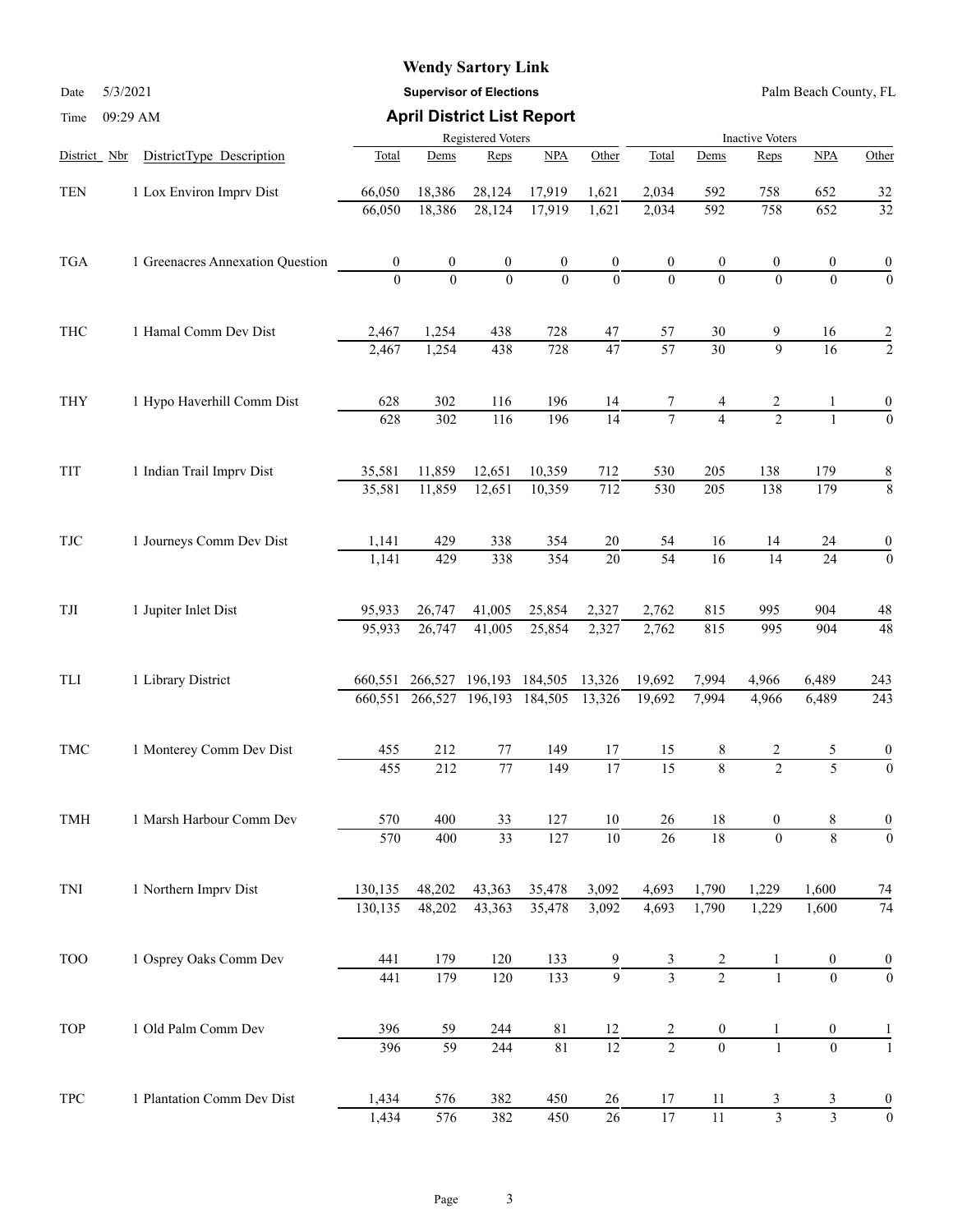Date 5/3/2021 **Supervisor of Elections** Palm Beach County, FL

| Time                        | 09:29 AM                         |                   | <b>April District List Report</b> |                  |                 |                  |                        |                  |                         |                         |                  |  |  |
|-----------------------------|----------------------------------|-------------------|-----------------------------------|------------------|-----------------|------------------|------------------------|------------------|-------------------------|-------------------------|------------------|--|--|
|                             |                                  | Registered Voters |                                   |                  |                 |                  | <b>Inactive Voters</b> |                  |                         |                         |                  |  |  |
| District Nbr                | DistrictType Description         | Total             | Dems                              | Reps             | NPA             | Other            | Total                  | Dems             | Reps                    | NPA                     | Other            |  |  |
| <b>TEN</b>                  | 1 Lox Environ Imprv Dist         | 66,050            | 18,386                            | 28,124           | 17,919          | 1,621            | 2,034                  | 592              | 758                     | 652                     | 32               |  |  |
|                             |                                  | 66,050            | 18,386                            | 28,124           | 17,919          | 1,621            | 2,034                  | 592              | 758                     | 652                     | $\overline{32}$  |  |  |
| <b>TGA</b>                  | 1 Greenacres Annexation Question | $\boldsymbol{0}$  | $\boldsymbol{0}$                  | $\boldsymbol{0}$ | 0               | $\boldsymbol{0}$ |                        | $\boldsymbol{0}$ | $\boldsymbol{0}$        | 0                       | $\boldsymbol{0}$ |  |  |
|                             |                                  | $\Omega$          | $\Omega$                          | $\theta$         | $\Omega$        | $\mathbf{0}$     | $\theta$               | $\Omega$         | $\theta$                | $\theta$                | $\overline{0}$   |  |  |
| THC                         | 1 Hamal Comm Dev Dist            | 2,467             | 1,254                             | 438              | 728             | 47               | 57                     | 30               | 9                       | 16                      | 2                |  |  |
|                             |                                  | 2,467             | 1,254                             | 438              | 728             | $\overline{47}$  | $\overline{57}$        | $\overline{30}$  | 9                       | $\overline{16}$         | $\overline{2}$   |  |  |
| <b>THY</b>                  | 1 Hypo Haverhill Comm Dist       | 628               | 302                               | 116              | 196             | 14               |                        |                  | $\overline{2}$          |                         |                  |  |  |
|                             |                                  | 628               | 302                               | 116              | 196             | $\overline{14}$  |                        | $\overline{4}$   | $\overline{2}$          | $\mathbf{1}$            | $\overline{0}$   |  |  |
| TIT                         | 1 Indian Trail Imprv Dist        | 35,581            | 11,859                            | 12,651           | 10,359          | 712              | 530                    | 205              | 138                     | 179                     | 8                |  |  |
|                             |                                  | 35,581            | 11,859                            | 12,651           | 10,359          | $\overline{712}$ | 530                    | 205              | 138                     | 179                     | 8                |  |  |
| TJC                         | 1 Journeys Comm Dev Dist         | 1,141             | 429                               | 338              | 354             | $20\,$           | 54                     | 16               | 14                      | 24                      | $\boldsymbol{0}$ |  |  |
|                             |                                  | 1,141             | 429                               | 338              | 354             | 20               | $\overline{54}$        | 16               | 14                      | 24                      | $\overline{0}$   |  |  |
| TJI                         | 1 Jupiter Inlet Dist             | 95,933            | 26,747                            | 41,005           | 25,854          | 2,327            | 2,762                  | 815              | 995                     | 904                     | 48               |  |  |
|                             |                                  | 95,933            | 26,747                            | 41,005           | 25,854          | 2,327            | 2,762                  | 815              | 995                     | 904                     | $\overline{48}$  |  |  |
| TLI                         | 1 Library District               | 660,551           | 266,527                           |                  | 196,193 184,505 | 13,326           | 19,692                 | 7,994            | 4,966                   | 6,489                   | 243              |  |  |
|                             |                                  |                   | 660,551 266,527 196,193           |                  | 184,505         | 13,326           | 19,692                 | 7,994            | 4,966                   | 6,489                   | 243              |  |  |
| <b>TMC</b>                  | 1 Monterey Comm Dev Dist         | 455               | 212                               | 77               | 149             | 17               | 15                     | 8                | 2                       | 5                       |                  |  |  |
|                             |                                  | 455               | 212                               | $\overline{77}$  | 149             | $\overline{17}$  | $\overline{15}$        | $\overline{8}$   | $\overline{2}$          | $\overline{5}$          | $\overline{0}$   |  |  |
| TMH                         | 1 Marsh Harbour Comm Dev         | 570               | 400                               | 33               | 127             | 10               | 26                     | 18               | $\boldsymbol{0}$        | 8                       | $\boldsymbol{0}$ |  |  |
|                             |                                  | 570               | 400                               | $\overline{33}$  | 127             | $10\,$           | 26                     | $\overline{18}$  | $\mathbf{0}$            | 8                       | $\boldsymbol{0}$ |  |  |
| $\mbox{TNI}$                | 1 Northern Imprv Dist            | 130,135           | 48,202                            | 43,363           | 35,478          | 3,092            | 4,693                  | 1,790            | 1,229                   | 1,600                   | 74               |  |  |
|                             |                                  | 130,135           | 48,202                            | 43,363           | 35,478          | 3,092            | 4,693                  | 1,790            | 1,229                   | 1,600                   | 74               |  |  |
| <b>TOO</b>                  | 1 Osprey Oaks Comm Dev           | 441               | 179                               | 120              | 133             | 9                | 3                      | $\overline{c}$   |                         | $\boldsymbol{0}$        | $\boldsymbol{0}$ |  |  |
|                             |                                  | 441               | 179                               | 120              | 133             | $\overline{9}$   | $\overline{3}$         | $\overline{2}$   | $\mathbf{1}$            | $\overline{0}$          | $\overline{0}$   |  |  |
| TOP                         | 1 Old Palm Comm Dev              | 396               | 59                                | 244              | 81              | 12               | 2                      | $\boldsymbol{0}$ | $\mathbf{1}$            | $\boldsymbol{0}$        | 1                |  |  |
|                             |                                  | 396               | $\overline{59}$                   | 244              | 81              | $\overline{12}$  | $\overline{2}$         | $\overline{0}$   | $\mathbf{1}$            | $\overline{0}$          | $\mathbf{1}$     |  |  |
| $\ensuremath{\mathsf{TPC}}$ | 1 Plantation Comm Dev Dist       | 1,434             | 576                               | 382              | 450             | 26               | 17                     | 11               | 3                       | 3                       | $\boldsymbol{0}$ |  |  |
|                             |                                  | 1,434             | 576                               | $\frac{1}{382}$  | 450             | $\overline{26}$  | 17                     | 11               | $\overline{\mathbf{3}}$ | $\overline{\mathbf{3}}$ | $\overline{0}$   |  |  |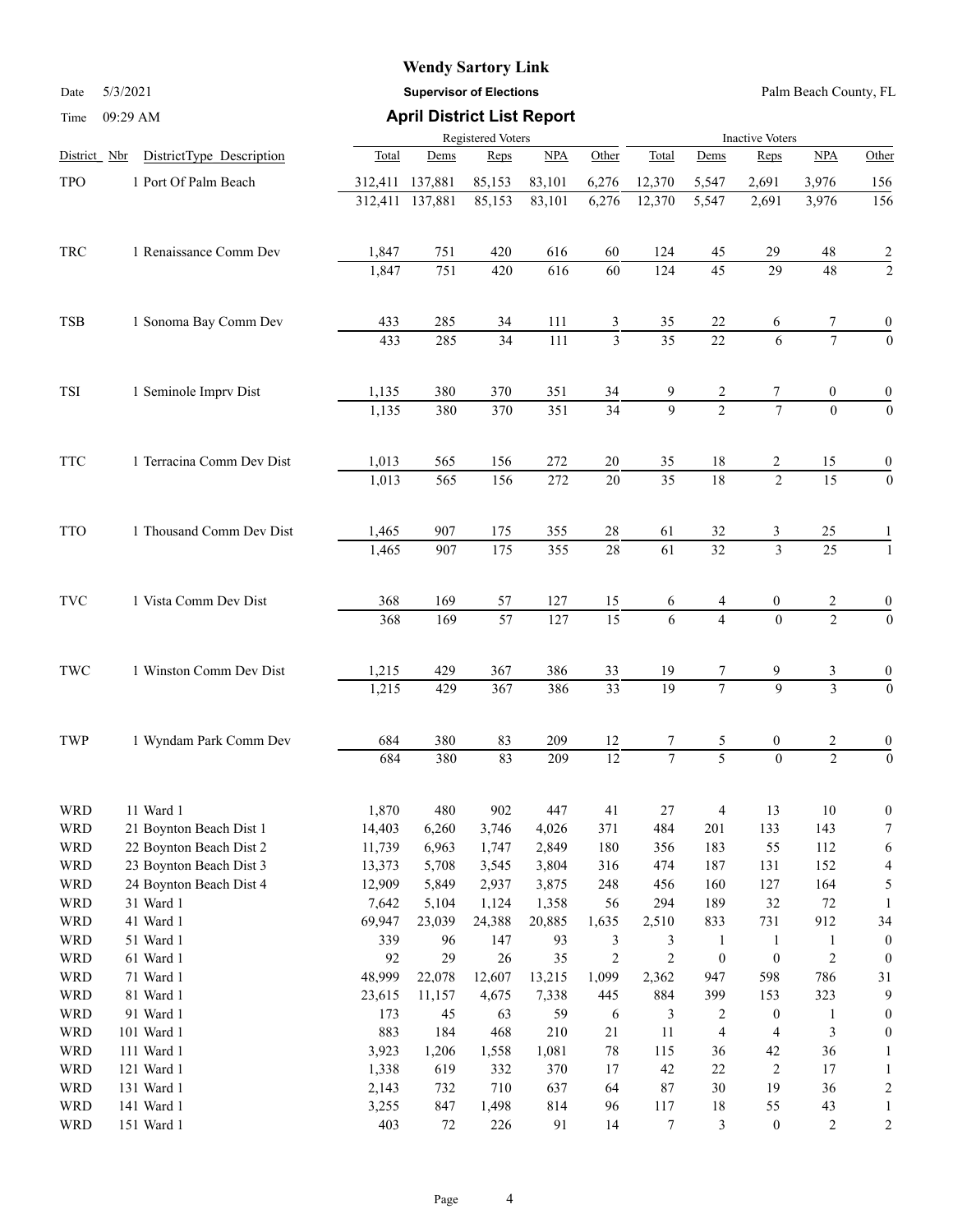Date 5/3/2021 **Supervisor of Elections** Palm Beach County, FL

|                      |                           |         |                  |                       | Registered Voters       |                       | <b>Inactive Voters</b> |                     |                  |                     |                  |  |
|----------------------|---------------------------|---------|------------------|-----------------------|-------------------------|-----------------------|------------------------|---------------------|------------------|---------------------|------------------|--|
| District Nbr         | DistrictType Description  | Total   | Dems             | Reps                  | NPA                     | Other                 | Total                  | Dems                | Reps             | NPA                 | Other            |  |
| <b>TPO</b>           | 1 Port Of Palm Beach      | 312,411 | 137,881          | 85,153                | 83,101                  | 6,276                 | 12,370                 | 5,547               | 2,691            | 3,976               | 156              |  |
|                      |                           | 312,411 | 137,881          | 85,153                | 83,101                  | 6,276                 | 12,370                 | 5,547               | 2,691            | 3,976               | 156              |  |
|                      |                           |         |                  |                       |                         |                       |                        |                     |                  |                     |                  |  |
| TRC                  | 1 Renaissance Comm Dev    | 1,847   | 751              | 420                   | 616                     | 60                    | 124                    | 45                  | 29               | $48\,$              | $\frac{2}{2}$    |  |
|                      |                           | 1,847   | 751              | 420                   | 616                     | 60                    | 124                    | $\overline{45}$     | $\overline{29}$  | $\overline{48}$     |                  |  |
| TSB                  | 1 Sonoma Bay Comm Dev     | 433     | 285              | 34                    | 111                     | 3                     | 35                     | 22                  | 6                | 7                   | $\boldsymbol{0}$ |  |
|                      |                           | 433     | 285              | $\overline{34}$       | 111                     | $\overline{3}$        | $\overline{35}$        | $\overline{22}$     | 6                | $\overline{7}$      | $\overline{0}$   |  |
| TSI                  | 1 Seminole Imprv Dist     | 1,135   | 380              | 370                   | 351                     | 34                    |                        | 2                   |                  | $\boldsymbol{0}$    | 0                |  |
|                      |                           | 1,135   | 380              | 370                   | $\overline{351}$        | $\overline{34}$       | $\overline{9}$         | $\overline{2}$      |                  | $\overline{0}$      | $\overline{0}$   |  |
|                      |                           |         |                  |                       |                         |                       |                        |                     |                  |                     |                  |  |
| <b>TTC</b>           | 1 Terracina Comm Dev Dist | 1,013   | 565              | 156                   | 272                     | 20                    | 35                     | 18                  | 2                | 15                  | $\bf{0}$         |  |
|                      |                           | 1,013   | $\overline{565}$ | 156                   | $\overline{272}$        | $\overline{20}$       | $\overline{35}$        | $\overline{18}$     | $\overline{2}$   | $\overline{15}$     | $\overline{0}$   |  |
| <b>TTO</b>           | 1 Thousand Comm Dev Dist  | 1,465   | 907              | 175                   | 355                     | 28                    | 61                     | 32                  | 3                | 25                  |                  |  |
|                      |                           | 1,465   | 907              | $\frac{175}{2}$       | 355                     | $\overline{28}$       | $\overline{61}$        | $\overline{32}$     | $\overline{3}$   | $\overline{25}$     |                  |  |
| <b>TVC</b>           | 1 Vista Comm Dev Dist     | 368     | 169              |                       |                         |                       |                        |                     |                  |                     |                  |  |
|                      |                           | 368     | 169              | 57<br>$\overline{57}$ | 127<br>$\overline{127}$ | 15<br>$\overline{15}$ | 6<br>$\overline{6}$    | 4<br>$\overline{4}$ | 0<br>$\Omega$    | 2<br>$\overline{2}$ | $\frac{0}{0}$    |  |
|                      |                           |         |                  |                       |                         |                       |                        |                     |                  |                     |                  |  |
| $\operatorname{TWC}$ | 1 Winston Comm Dev Dist   | 1,215   | 429              | 367                   | 386                     | 33                    | 19                     | 7                   |                  |                     | $\frac{0}{0}$    |  |
|                      |                           | 1,215   | 429              | 367                   | 386                     | $\overline{33}$       | $\overline{19}$        | $\overline{7}$      | $\mathsf q$      | $\overline{3}$      |                  |  |
| TWP                  | 1 Wyndam Park Comm Dev    | 684     | 380              | 83                    | 209                     | 12                    | Τ                      | 5                   | 0                |                     |                  |  |
|                      |                           | 684     | 380              | 83                    | 209                     | $\overline{12}$       | $\overline{7}$         | $\overline{5}$      | $\Omega$         | $\frac{2}{2}$       | $\frac{0}{0}$    |  |
| <b>WRD</b>           | 11 Ward 1                 | 1,870   | 480              | 902                   | 447                     | 41                    | 27                     | $\overline{4}$      | 13               | 10                  | $\boldsymbol{0}$ |  |
| <b>WRD</b>           | 21 Boynton Beach Dist 1   | 14,403  | 6,260            | 3,746                 | 4,026                   | 371                   | 484                    | 201                 | 133              | 143                 | $\tau$           |  |
| <b>WRD</b>           | 22 Boynton Beach Dist 2   | 11,739  | 6,963            | 1,747                 | 2,849                   | 180                   | 356                    | 183                 | 55               | 112                 | 6                |  |
| <b>WRD</b>           | 23 Boynton Beach Dist 3   | 13,373  | 5,708            | 3,545                 | 3,804                   | 316                   | 474                    | 187                 | 131              | 152                 | 4                |  |
| <b>WRD</b>           | 24 Boynton Beach Dist 4   | 12,909  | 5,849            | 2,937                 | 3,875                   | 248                   | 456                    | 160                 | 127              | 164                 | 5                |  |
| <b>WRD</b>           | 31 Ward 1                 | 7,642   | 5,104            | 1,124                 | 1,358                   | 56                    | 294                    | 189                 | 32               | $72\,$              | 1                |  |
| <b>WRD</b>           | 41 Ward 1                 | 69,947  | 23,039           | 24,388                | 20,885                  | 1,635                 | 2,510                  | 833                 | 731              | 912                 | 34               |  |
| <b>WRD</b>           | 51 Ward 1                 | 339     | 96               | 147                   | 93                      | 3                     | 3                      | 1                   | $\mathbf{1}$     | 1                   | $\bf{0}$         |  |
| <b>WRD</b>           | 61 Ward 1                 | 92      | 29               | $26\,$                | 35                      | $\overline{c}$        | $\overline{c}$         | $\boldsymbol{0}$    | $\boldsymbol{0}$ | $\sqrt{2}$          | $\bf{0}$         |  |
| <b>WRD</b>           | 71 Ward 1                 | 48,999  | 22,078           | 12,607                | 13,215                  | 1,099                 | 2,362                  | 947                 | 598              | 786                 | 31               |  |
| <b>WRD</b>           | 81 Ward 1                 | 23,615  | 11,157           | 4,675                 | 7,338                   | 445                   | 884                    | 399                 | 153              | 323                 | 9                |  |
| <b>WRD</b>           | 91 Ward 1                 | 173     | 45               | 63                    | 59                      | 6                     | 3                      | 2                   | $\boldsymbol{0}$ | 1                   | 0                |  |
| <b>WRD</b>           | 101 Ward 1                | 883     | 184              | 468                   | 210                     | 21                    | 11                     | 4                   | 4                | $\mathfrak{Z}$      | $\mathbf{0}$     |  |
| <b>WRD</b>           | 111 Ward 1                | 3,923   | 1,206            | 1,558                 | 1,081                   | 78                    | 115                    | 36                  | 42               | 36                  | 1                |  |
| <b>WRD</b>           | 121 Ward 1                | 1,338   | 619              | 332                   | 370                     | 17                    | $42\,$                 | 22                  | $\overline{c}$   | 17                  |                  |  |
| <b>WRD</b>           | 131 Ward 1                | 2,143   | 732              | 710                   | 637                     | 64                    | 87                     | $30\,$              | 19               | 36                  | 2                |  |
| <b>WRD</b>           | 141 Ward 1                | 3,255   | 847              | 1,498                 | 814                     | 96                    | 117                    | 18                  | 55               | 43                  | 1                |  |
| <b>WRD</b>           | 151 Ward 1                | 403     | $72\,$           | 226                   | 91                      | 14                    | $\boldsymbol{7}$       | $\mathfrak{Z}$      | $\boldsymbol{0}$ | $\overline{c}$      | 2                |  |